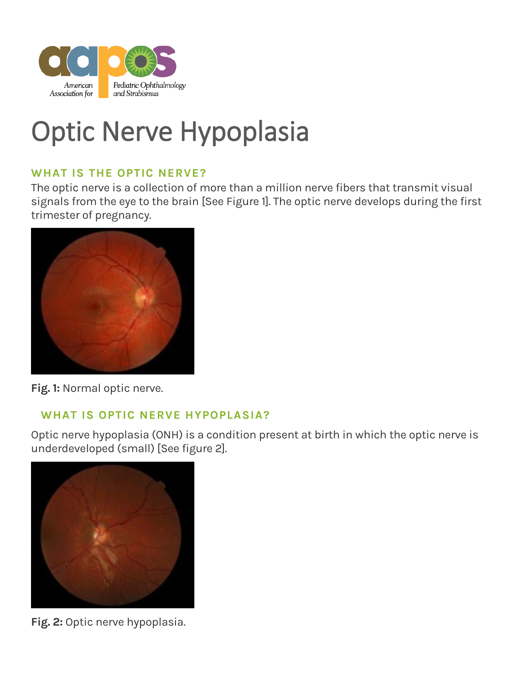

# Optic Nerve Hypoplasia

## **WHAT IS THE OPTIC NERVE?**

The optic nerve is a collection of more than a million nerve fibers that transmit visual signals from the eye to the brain [See Figure 1]. The optic nerve develops during the first trimester of pregnancy.



**Fig. 1:** Normal optic nerve.

# **WHAT IS OPTIC NERVE HYPOPLASIA?**

Optic nerve hypoplasia (ONH) is a condition present at birth in which the optic nerve is underdeveloped (small) [See figure 2].



**Fig. 2:** Optic nerve hypoplasia.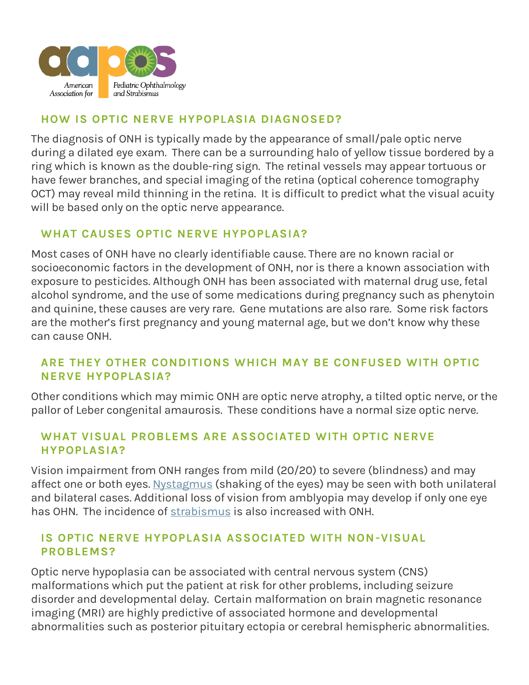

## **HOW IS OPTIC NERVE HYPOPLASIA DIAGNOSED?**

The diagnosis of ONH is typically made by the appearance of small/pale optic nerve during a dilated eye exam. There can be a surrounding halo of yellow tissue bordered by a ring which is known as the double-ring sign. The retinal vessels may appear tortuous or have fewer branches, and special imaging of the retina (optical coherence tomography OCT) may reveal mild thinning in the retina. It is difficult to predict what the visual acuity will be based only on the optic nerve appearance.

# **WHAT CAUSES OPTIC NERVE HYPOPLASIA?**

Most cases of ONH have no clearly identifiable cause. There are no known racial or socioeconomic factors in the development of ONH, nor is there a known association with exposure to pesticides. Although ONH has been associated with maternal drug use, fetal alcohol syndrome, and the use of some medications during pregnancy such as phenytoin and quinine, these causes are very rare. Gene mutations are also rare. Some risk factors are the mother's first pregnancy and young maternal age, but we don't know why these can cause ONH.

## **ARE THEY OTHER CONDITIONS WHICH MAY BE CONFUSED WITH OPTIC NERVE HYPOPLASIA?**

Other conditions which may mimic ONH are optic nerve atrophy, a tilted optic nerve, or the pallor of Leber congenital amaurosis. These conditions have a normal size optic nerve.

#### **WHAT VISUAL PROBLEMS ARE ASSOCIATED WITH OPTIC NERVE HYPOPLASIA?**

Vision impairment from ONH ranges from mild (20/20) to severe (blindness) and may affect one or both eyes. [Nystagmus](https://aapos.org/glossary/nystagmus) (shaking of the eyes) may be seen with both unilateral and bilateral cases. Additional loss of vision from amblyopia may develop if only one eye has OHN. The incidence of [strabismus](https://aapos.org/glossary/strabismus) is also increased with ONH.

#### **IS OPTIC NERVE HYPOPLASIA ASSOCIATED WITH NON-VISUAL PROBLEMS?**

Optic nerve hypoplasia can be associated with central nervous system (CNS) malformations which put the patient at risk for other problems, including seizure disorder and developmental delay. Certain malformation on brain magnetic resonance imaging (MRI) are highly predictive of associated hormone and developmental abnormalities such as posterior pituitary ectopia or cerebral hemispheric abnormalities.